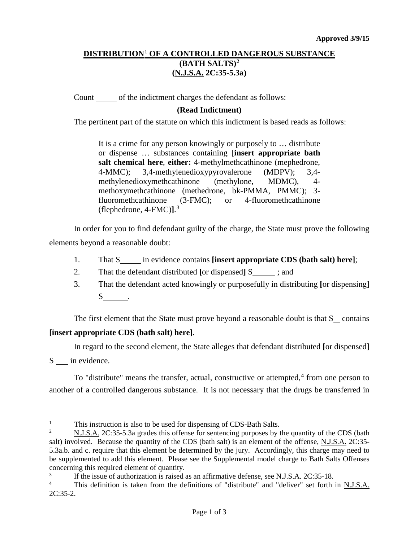## **DISTRIBUTION**[1](#page-0-0) **OF A CONTROLLED DANGEROUS SUBSTANCE (BATH SALTS)[2](#page-0-1) (N.J.S.A. 2C:35-5.3a)**

Count of the indictment charges the defendant as follows:

## **(Read Indictment)**

The pertinent part of the statute on which this indictment is based reads as follows:

It is a crime for any person knowingly or purposely to … distribute or dispense … substances containing [**insert appropriate bath salt chemical here**, **either:** 4-methylmethcathinone (mephedrone, 4-MMC); 3,4-methylenedioxypyrovalerone (MDPV); 3,4 methylenedioxymethcathinone (methylone, MDMC), 4 methoxymethcathinone (methedrone, bk-PMMA, PMMC); 3 fluoromethcathinone (3-FMC); or 4-fluoromethcathinone (flephedrone, 4-FMC)**]**. [3](#page-0-2)

In order for you to find defendant guilty of the charge, the State must prove the following elements beyond a reasonable doubt:

- 1. That S in evidence contains **[insert appropriate CDS (bath salt) here]**;
- 2. That the defendant distributed **[**or dispensed**]** S ; and
- 3. That the defendant acted knowingly or purposefully in distributing **[**or dispensing**]** S .

The first element that the State must prove beyond a reasonable doubt is that  $S$  contains **[insert appropriate CDS (bath salt) here]**.

In regard to the second element, the State alleges that defendant distributed **[**or dispensed**]** S in evidence.

To "distribute" means the transfer, actual, constructive or attempted, $4$  from one person to another of a controlled dangerous substance. It is not necessary that the drugs be transferred in

<span id="page-0-2"></span> $\frac{3}{4}$  If the issue of authorization is raised as an affirmative defense, <u>see N.J.S.A.</u> 2C:35-18.

<span id="page-0-0"></span> $\frac{1}{1}$ This instruction is also to be used for dispensing of CDS-Bath Salts.<br>N I S A 2C:35-5.3a grades this offense for sentencing purposes by t

<span id="page-0-1"></span><sup>2</sup> N.J.S.A. 2C:35-5.3a grades this offense for sentencing purposes by the quantity of the CDS (bath salt) involved. Because the quantity of the CDS (bath salt) is an element of the offense, N.J.S.A. 2C:35- 5.3a.b. and c. require that this element be determined by the jury. Accordingly, this charge may need to be supplemented to add this element. Please see the Supplemental model charge to Bath Salts Offenses concerning this required element of quantity.

<span id="page-0-3"></span><sup>4</sup> This definition is taken from the definitions of "distribute" and "deliver" set forth in N.J.S.A.  $2C:35-2.$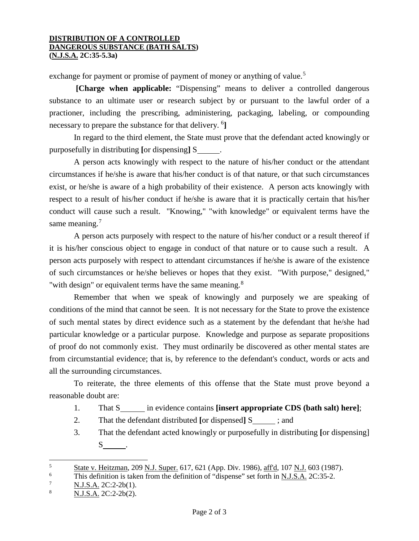## **DISTRIBUTION OF A CONTROLLED DANGEROUS SUBSTANCE (BATH SALTS) (N.J.S.A. 2C:35-5.3a)**

exchange for payment or promise of payment of money or anything of value.<sup>[5](#page-1-0)</sup>

**[Charge when applicable:** "Dispensing" means to deliver a controlled dangerous substance to an ultimate user or research subject by or pursuant to the lawful order of a practioner, including the prescribing, administering, packaging, labeling, or compounding necessary to prepare the substance for that delivery. <sup>[6](#page-1-1)</sup>]

In regard to the third element, the State must prove that the defendant acted knowingly or purposefully in distributing **[**or dispensing**]** S .

A person acts knowingly with respect to the nature of his/her conduct or the attendant circumstances if he/she is aware that his/her conduct is of that nature, or that such circumstances exist, or he/she is aware of a high probability of their existence. A person acts knowingly with respect to a result of his/her conduct if he/she is aware that it is practically certain that his/her conduct will cause such a result. "Knowing," "with knowledge" or equivalent terms have the same meaning.<sup>[7](#page-1-2)</sup>

A person acts purposely with respect to the nature of his/her conduct or a result thereof if it is his/her conscious object to engage in conduct of that nature or to cause such a result. A person acts purposely with respect to attendant circumstances if he/she is aware of the existence of such circumstances or he/she believes or hopes that they exist. "With purpose," designed," "with design" or equivalent terms have the same meaning.<sup>[8](#page-1-3)</sup>

Remember that when we speak of knowingly and purposely we are speaking of conditions of the mind that cannot be seen. It is not necessary for the State to prove the existence of such mental states by direct evidence such as a statement by the defendant that he/she had particular knowledge or a particular purpose. Knowledge and purpose as separate propositions of proof do not commonly exist. They must ordinarily be discovered as other mental states are from circumstantial evidence; that is, by reference to the defendant's conduct, words or acts and all the surrounding circumstances.

To reiterate, the three elements of this offense that the State must prove beyond a reasonable doubt are:

- 1. That S<sub>nn</sub> in evidence contains **[insert appropriate CDS (bath salt) here**];
- 2. That the defendant distributed [or dispensed] S<sub>\_\_\_\_</sub>; and
- 3. That the defendant acted knowingly or purposefully in distributing **[**or dispensing]  $S$  .

<span id="page-1-0"></span> $\frac{5}{6}$  State v. Heitzman, 209 N.J. Super. 617, 621 (App. Div. 1986), aff'd, 107 N.J. 603 (1987).  $\overline{5}$ 

<span id="page-1-1"></span><sup>&</sup>lt;sup>6</sup> This definition is taken from the definition of "dispense" set forth in <u>N.J.S.A.</u> 2C:35-2.<br><sup>7</sup> N.J.S.A. 2C:2.2b(1)

<span id="page-1-2"></span> $\frac{7}{8}$  N.J.S.A. 2C:2-2b(1).

<span id="page-1-3"></span><sup>8</sup> N.J.S.A. 2C:2-2b(2).